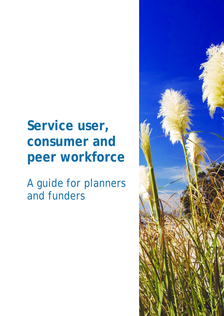# **Service user, consumer and peer workforce**

A guide for planners and funders

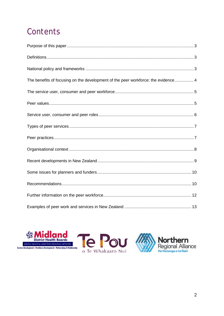# Contents

| The benefits of focusing on the development of the peer workforce: the evidence  4 |  |
|------------------------------------------------------------------------------------|--|
|                                                                                    |  |
|                                                                                    |  |
|                                                                                    |  |
|                                                                                    |  |
|                                                                                    |  |
|                                                                                    |  |
|                                                                                    |  |
|                                                                                    |  |
|                                                                                    |  |
|                                                                                    |  |
|                                                                                    |  |

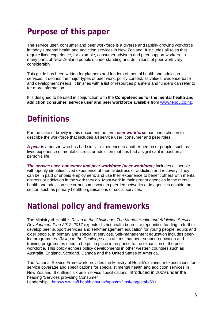# <span id="page-2-0"></span>**Purpose of this paper**

The service user, consumer and peer workforce is a diverse and rapidly growing workforce in today's mental health and addiction services in New Zealand. It includes all roles that require lived experience, for example, consumer advisors and peer support workers. In many parts of New Zealand people's understanding and definitions of peer work vary considerably.

This guide has been written for planners and funders of mental health and addiction services. It defines the major types of peer work, policy context, its values, evidence-base and development needs. It finishes with a list of resources planners and funders can refer to for more information.

It is designed to be used in conjunction with the **Competencies for the mental health and addiction consumer, service user and peer workforce** available from [www.tepou.co.nz.](http://www.tepou.co.nz/)

### <span id="page-2-1"></span>**Definitions**

For the sake of brevity in this document the term *peer workforce* has been chosen to describe the workforce that includes **all** service user, consumer and peer roles.

*A peer* is a person who has had similar experience to another person or people, such as lived experience of mental distress or addiction that has had a significant impact on a person's life.

*The service user, consumer and peer workforce (peer workforce)* includes all people with openly identified lived experience of mental distress or addiction and recovery. They can be in paid or unpaid employment, and use their experience to benefit others with mental distress or addiction in the work they do. Most work in mainstream agencies in the mental health and addiction sector but some work in peer-led networks or in agencies outside the sector, such as primary health organisations or social services.

### <span id="page-2-2"></span>**National policy and frameworks**

The Ministry of Health's *Rising to the Challenge: The Mental Health and Addiction Service Development Plan 2012–2017* expects district health boards to reprioritise funding to further develop peer support services and self-management education for young people, adults and older people, in primary and specialist services. Self-management education includes peerled programmes. *Rising to the Challenge* also affirms that peer support education and training programmes need to be put in place in response to the expansion of the peer workforce. This policy echoes policy developments in other western countries such as Australia, England, Scotland, Canada and the United States of America.

The National Service Framework provides the Ministry of Health's minimum expectations for service coverage and specifications for specialist mental health and addiction services in New Zealand. It outlines six peer service specifications introduced in 2009 under the heading 'Services providing Consumer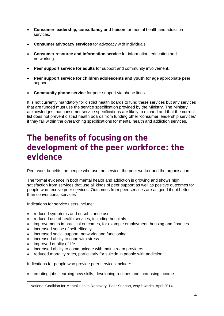- **Consumer leadership, consultancy and liaison** for mental health and addiction services.
- **Consumer advocacy services** for advocacy with individuals.
- **Consumer resource and information service** for information, education and networking.
- **Peer support service for adults** for support and community involvement.
- **Peer support service for children adolescents and youth** for age appropriate peer support.
- **Community phone service** for peer support via phone lines.

It is not currently mandatory for district health boards to fund these services but any services that are funded must use the service specification provided by the Ministry. The Ministry acknowledges that consumer service specifications are likely to expand and that the current list does not prevent district health boards from funding other 'consumer leadership services' if they fall within the overarching specifications for mental health and addiction services.

### <span id="page-3-0"></span>**The benefits of focusing on the development of the peer workforce: the evidence**

Peer work benefits the people who use the service, the peer worker and the organisation.

The formal evidence in both mental health and addiction is growing and shows high satisfaction from services that use all kinds of peer support as well as positive outcomes for people who receive peer services. Outcomes from peer services are as good if not better than conventional services<sup>[1](#page-3-1)</sup>.

Indications for service users include:

- reduced symptoms and or substance use
- reduced use of health services, including hospitals
- improvements in practical outcomes, for example employment, housing and finances
- increased sense of self-efficacy
- increased social support, networks and functioning
- increased ability to cope with stress
- improved quality of life
- increased ability to communicate with mainstream providers
- reduced mortality rates, particularly for suicide in people with addiction.

Indications for people who provide peer services include:

• creating jobs, learning new skills, developing routines and increasing income

<span id="page-3-1"></span><sup>1</sup> National Coalition for Mental Health Recovery- Peer Support, why it works. April 2014  $\overline{a}$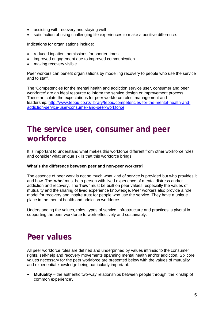- assisting with recovery and staying well
- satisfaction of using challenging life experiences to make a positive difference.

Indications for organisations include:

- reduced inpatient admissions for shorter times
- improved engagement due to improved communication
- making recovery visible.

Peer workers can benefit organisations by modelling recovery to people who use the service and to staff.

The 'Competencies for the mental health and addiction service user, consumer and peer workforce' are an ideal resource to inform the service design or improvement process. These articulate the expectations for peer workforce roles, management and leadership. [http://www.tepou.co.nz/library/tepou/competencies-for-the-mental-health-and](http://www.tepou.co.nz/library/tepou/competencies-for-the-mental-health-and-addiction-service-user-consumer-and-peer-workforce)[addiction-service-user-consumer-and-peer-workforce](http://www.tepou.co.nz/library/tepou/competencies-for-the-mental-health-and-addiction-service-user-consumer-and-peer-workforce)

### <span id="page-4-0"></span>**The service user, consumer and peer workforce**

It is important to understand what makes this workforce different from other workforce roles and consider what unique skills that this workforce brings.

#### **What's the difference between peer and non-peer workers?**

The essence of peer work is not so much what kind of service is provided but who provides it and how. The '**who'** must be a person with lived experience of mental distress and/or addiction and recovery. The '**how'** must be built on peer values, especially the values of mutuality and the sharing of lived experience knowledge. Peer workers also provide a role model for recovery and inspire trust for people who use the service. They have a unique place in the mental health and addiction workforce.

Understanding the values, roles, types of service, infrastructure and practices is pivotal in supporting the peer workforce to work effectively and sustainably.

### <span id="page-4-1"></span>**Peer values**

All peer workforce roles are defined and underpinned by values intrinsic to the consumer rights, self-help and recovery movements spanning mental health and/or addiction. Six core values necessary for the peer workforce are presented below with the values of mutuality and experiential knowledge being particularly important.

• **Mutuality** – the authentic two-way relationships between people through 'the kinship of common experience'.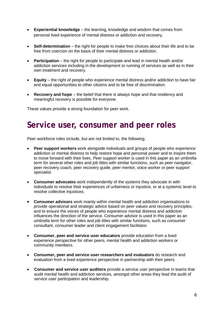- **Experiential knowledge** the learning, knowledge and wisdom that comes from personal lived experience of mental distress or addiction and recovery.
- **Self-determination** the right for people to make free choices about their life and to be free from coercion on the basis of their mental distress or addiction.
- **Participation** the right for people to participate and lead in mental health and/or addiction services including in the development or running of services as well as in their own treatment and recovery.
- **Equity**  the right of people who experience mental distress and/or addiction to have fair and equal opportunities to other citizens and to be free of discrimination.
- **Recovery and hope** the belief that there is always hope and that resiliency and meaningful recovery is possible for everyone.

These values provide a strong foundation for peer work.

### <span id="page-5-0"></span>**Service user, consumer and peer roles**

Peer workforce roles include, but are not limited to, the following.

- **Peer support workers** work alongside individuals and groups of people who experience addiction or mental distress to help restore hope and personal power and to inspire them to move forward with their lives. *Peer support worker* is used in this paper as an umbrella term for several other roles and job titles with similar functions, such as peer navigator, peer recovery coach, peer recovery guide, peer mentor, voice worker or peer support specialist.
- **Consumer advocates** work independently of the systems they advocate in with individuals to resolve their experiences of unfairness or injustice, or at a systemic level to resolve collective injustices.
- **Consumer advisors** work mainly within mental health and addiction organisations to provide operational and strategic advice based on peer values and recovery principles, and to ensure the voices of people who experience mental distress and addiction influences the direction of the service. Consumer advisor is used in this paper as an umbrella term for other roles and job titles with similar functions, such as consumer consultant, consumer leader and client engagement facilitator.
- **Consumer, peer and service user educators** provide education from a lived experience perspective for other peers, mental health and addiction workers or community members.
- **Consumer, peer and service user researchers and evaluators** do research and evaluation from a lived experience perspective in partnership with their peers.
- **Consumer and service user auditors** provide a service user perspective in teams that audit mental health and addiction services, amongst other areas they lead the audit of service user participation and leadership.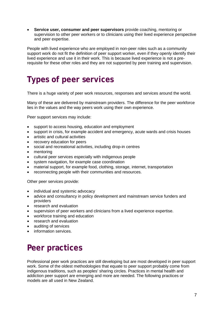• **Service user, consumer and peer supervisors** provide coaching, mentoring or supervision to other peer workers or to clinicians using their lived experience perspective and peer expertise.

People with lived experience who are employed in non-peer roles such as a community support work do not fit the definition of peer support worker, even if they openly identify their lived experience and use it in their work. This is because lived experience is not a prerequisite for these other roles and they are not supported by peer training and supervision.

# <span id="page-6-0"></span>**Types of peer services**

There is a huge variety of peer work resources, responses and services around the world.

Many of these are delivered by mainstream providers. The difference for the peer workforce lies in the values and the way peers work using their own experience.

Peer support services may include:

- support to access housing, education and employment
- support in crisis, for example accident and emergency, acute wards and crisis houses
- artistic and cultural activities
- recovery education for peers
- social and recreational activities, including drop-in centres
- mentoring
- cultural peer services especially with indigenous people
- system navigation, for example case coordination
- material support, for example food, clothing, storage, internet, transportation
- reconnecting people with their communities and resources.

Other peer services provide:

- individual and systemic advocacy
- advice and consultancy in policy development and mainstream service funders and providers
- research and evaluation
- supervision of peer workers and clinicians from a lived experience expertise.
- workforce training and education
- research and evaluation
- auditing of services
- information services.

# <span id="page-6-1"></span>**Peer practices**

Professional peer work practices are still developing but are most developed in peer support work. Some of the oldest methodologies that equate to peer support probably come from indigenous traditions, such as peoples' sharing circles. Practices in mental health and addiction peer support are emerging and more are needed. The following practices or models are all used in New Zealand.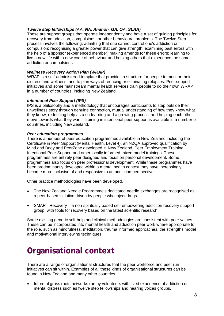### *Twelve step fellowships (AA, NA, Al-anon, GA, OA, SLAA)*

These are support groups that operate independently and have a set of guiding principles for recovery from [addiction,](http://en.wiktionary.org/wiki/addiction) [compulsions,](http://en.wikipedia.org/wiki/Compulsive_behavior) or other behavioural problems. The Twelve Step process involves the following: admitting that one cannot control one's addiction or compulsion; recognising a greater power that can give strength; examining past errors with the help of a sponsor (experienced member) making amends for these errors; learning to live a new life with a new code of behaviour and helping others that experience the same addiction or compulsions.

### *Wellness Recovery Action Plan (WRAP)*

WRAP is a self-administered template that provides a structure for people to monitor their distress and wellness, and to plan ways of reducing or eliminating relapses. Peer support initiatives and some mainstream mental health services train people to do their own WRAP in a number of countries, including New Zealand.

### *Intentional Peer Support (IPS)*

IPS is a philosophy and a methodology that encourages participants to step outside their unwellness story through genuine connection, mutual understanding of how they know what they know, redefining help as a co-learning and a growing process, and helping each other move towards what they want. Training in intentional peer support is available in a number of countries, including New Zealand.

### *Peer education programmes*

There is a number of peer education programmes available in New Zealand including the Certificate in Peer Support (Mental Health, Level 4), an NZQA approved qualification by Mind and Body and PeerZone developed in New Zealand, Peer Employment Training, Intentional Peer Support and other locally informed mixed model trainings. These programmes are entirely peer designed and focus on personal development. Some programmes also focus on peer professional development. While these programmes have been predominantly developed within a mental health context they have increasingly become more inclusive of and responsive to an addiction perspective.

Other practice methodologies have been developed.

- The New Zealand Needle Programme's dedicated needle exchanges are recognised as a peer-based initiative driven by people who inject drugs.
- SMART Recovery a non-spiritually based self-empowering addiction recovery support group, with tools for recovery based on the latest scientific research.

Some existing generic self-help and clinical methodologies are consistent with peer values. These can be incorporated into mental health and addiction peer work where appropriate to the role, such as mindfulness, meditation, trauma informed approaches, the strengths model and motivational interviewing techniques.

# <span id="page-7-0"></span>**Organisational context**

There are a range of organisational structures that the peer workforce and peer run initiatives can sit within. Examples of all these kinds of organisational structures can be found in New Zealand and many other countries.

• Informal grass roots networks run by volunteers with lived experience of addiction or mental distress such as twelve step fellowships and hearing voices groups.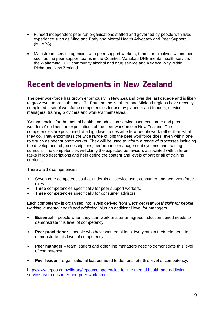- Funded independent peer run organisations staffed and governed by people with lived experience such as Mind and Body and Mental Health Advocacy and Peer Support (MHAPS).
- Mainstream service agencies with peer support workers, teams or initiatives within them such as the peer support teams in the Counties Manukau DHB mental health service, the Waitemata DHB community alcohol and drug service and Key We Way within Richmond New Zealand.

# <span id="page-8-0"></span>**Recent developments in New Zealand**

The peer workforce has grown enormously in New Zealand over the last decade and is likely to grow even more in the next. Te Pou and the Northern and Midland regions have recently completed a set of workforce competencies for use by planners and funders, service managers, training providers and workers themselves.

'Competencies for the mental health and addiction service user, consumer and peer workforce' outlines the expectations of the peer workforce in New Zealand. The competencies are positioned at a high level to describe how people work rather than what they do. They encompass the wide range of jobs the peer workforce does, even within one role such as peer support worker. They will be used to inform a range of processes including the development of job descriptions, performance management systems and training curricula. The competencies will clarify the expected behaviours associated with different tasks in job descriptions and help define the content and levels of part or all of training curricula.

There are 13 competencies.

- Seven core competencies that underpin all service user, consumer and peer workforce roles.
- Three competencies specifically for peer support workers.
- Three competencies specifically for consumer advisors.

Each competency is organised into levels derived from '*Let's get real: Real skills for people working in mental health and addiction'* plus an additional level for managers.

- **Essential** people when they start work or after an agreed induction period needs to demonstrate this level of competency.
- **Peer practitioner** people who have worked at least two years in their role need to demonstrate this level of competency.
- **Peer manager** team leaders and other line managers need to demonstrate this level of competency.
- **Peer leader** organisational leaders need to demonstrate this level of competency.

[http://www.tepou.co.nz/library/tepou/competencies-for-the-mental-health-and-addiction](http://www.tepou.co.nz/library/tepou/competencies-for-the-mental-health-and-addiction-service-user-consumer-and-peer-workforce)[service-user-consumer-and-peer-workforce](http://www.tepou.co.nz/library/tepou/competencies-for-the-mental-health-and-addiction-service-user-consumer-and-peer-workforce)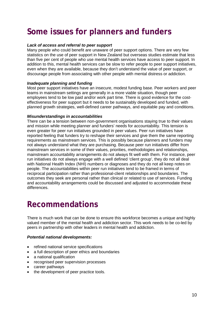# <span id="page-9-0"></span>**Some issues for planners and funders**

### *Lack of access and referral to peer support*

Many people who could benefit are unaware of peer support options. There are very few statistics on the use of peer support in New Zealand but overseas studies estimate that less than five per cent of people who use mental health services have access to peer support. In addition to this, mental health services can be slow to refer people to peer support initiatives, even when they are available, because they don't understand the value of peer support, or discourage people from associating with other people with mental distress or addiction.

### *Inadequate planning and funding*

Most peer support initiatives have an insecure, modest funding base. Peer workers and peer teams in mainstream settings are generally in a more viable situation, though peer employees tend to be low paid and/or work part time. There is good evidence for the costeffectiveness for peer support but it needs to be sustainably developed and funded, with planned growth strategies, well-defined career pathways, and equitable pay and conditions.

### *Misunderstandings in accountabilities*

There can be a tension between non-government organisations staying true to their values and mission while meeting planner and funders' needs for accountability. This tension is even greater for peer run initiatives grounded in peer values. Peer run initiatives have reported feeling that funders try to reshape their services and give them the same reporting requirements as mainstream services. This is possibly because planners and funders may not always understand what they are purchasing. Because peer run initiatives differ from mainstream services in some of their values, priorities, methodologies and relationships, mainstream accountability arrangements do not always fit well with them. For instance, peer run initiatives do not always engage with a well defined 'client group', they do not all deal with National Health Index (NHI) numbers or diagnoses and they do not all keep notes on people. The accountabilities within peer run initiatives tend to be framed in terms of reciprocal participation rather than professional-client relationships and boundaries. The outcomes they seek are personal rather than clinical or related to use of services. Funding and accountability arrangements could be discussed and adjusted to accommodate these differences.

### <span id="page-9-1"></span>**Recommendations**

There is much work that can be done to ensure this workforce becomes a unique and highly valued member of the mental health and addiction sector. This work needs to be co-led by peers in partnership with other leaders in mental health and addiction.

### *Potential national developments:*

- refined national service specifications
- a full description of peer ethics and boundaries
- a national qualification
- recognised peer supervision processes
- career pathways
- the development of peer practice tools.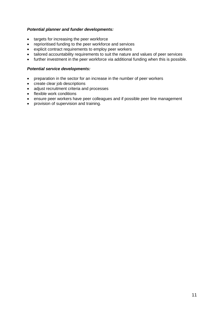### *Potential planner and funder developments:*

- targets for increasing the peer workforce
- reprioritised funding to the peer workforce and services
- explicit contract requirements to employ peer workers
- tailored accountability requirements to suit the nature and values of peer services
- further investment in the peer workforce via additional funding when this is possible.

### *Potential service developments:*

- preparation in the sector for an increase in the number of peer workers
- create clear job descriptions
- adjust recruitment criteria and processes
- flexible work conditions
- ensure peer workers have peer colleagues and if possible peer line management
- provision of supervision and training.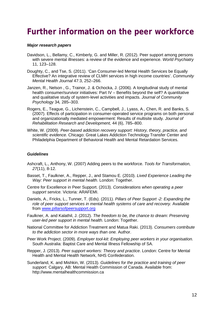### <span id="page-11-0"></span>**Further information on the peer workforce**

#### *Major research papers*

- Davidson, L., Bellamy, C., Kimberly, G. and Miller, R. (2012). Peer support among persons with severe mental illnesses: a review of the evidence and experience. *World Psychiatry*  11, 123–128.
- Doughty, C., and Tse, S. (2011). 'Can Consumer-led Mental Health Services be Equally Effective? An integrative review of CLMH services in high income countries'. *Community Mental Health Journal* 47:3, 252–266.
- Janzen, R., Nelson , G., Trainor, J. & Ochocka, J. (2006). A longitudinal study of mental health consumer/survivor initiatives: Part IV – Benefits beyond the self? A quantitative and qualitative study of system-level activities and impacts. *Journal of Community Psychology* 34*,* 285–303.
- Rogers, E., Teague, G., Lichenstein, C., Campbell, J., Lyass, A., Chen, R. and Banks, S. (2007). Effects of participation in consumer-operated service programs on both personal and organizationally mediated empowerment: Results of multisite study. *Journal of Rehabilitation Research and Development,* 44 (6), 785–800.
- White, W. (2009). *Peer-based addiction recovery support: History, theory, practice, and scientific evidence.* Chicago: Great Lakes Addiction Technology Transfer Center and Philadelphia Department of Behavioral Health and Mental Retardation Services.

#### *Guidelines*

- Ashcraft, L., Anthony, W. (2007) [Adding peers to the workforce.](http://www.scopus.com.wmezproxy.wnmeds.ac.nz/inward/record.url?partnerID=yv4JPVwI&eid=2-s2.0-36849019502&md5=4dc6fad7075d75ebf52ea9cf3626b4a2) *Tools for Transformation, 27*(11), 8-12.
- Basset, T., Faulkner, A., Repper, J., and Stamou E. (2010). *Lived Experience Leading the Way: Peer support in mental health*. London: Together.
- Centre for Excellence in Peer Support. (2013). *Considerations when operating a peer support service.* Victoria: ARAFEMI.
- Daniels, A., Fricks, L., Tunner, T. (Eds). (2011). *Pillars of Peer Support -2: Expanding the role of peer support services in mental health systems of care and recovery.* Available from [www.pillarsofpeersupport.org](http://www.pillarsofpeersupport.org/)
- Faulkner, A. and Kalathil, J. (2012). *The freedom to be, the chance to dream: Preserving user-led peer support in mental health.* London: Together.
- National Committee for Addiction Treatment and Matua Raki. (2013). *Consumers contribute to the addiction sector in more ways than one.* Author.
- Peer Work Project. (2009). *Employer tool-kit: Employing peer workers in your organisation.* South Australia: Baptist Care and Mental Illness Fellowship of SA.
- Repper, J. (2013). *Peer support workers: Theory and practice*. London: Centre for Mental Health and Mental Health Network, NHS Confederation.
- Sunderland, K. and Mishkin, W. (2013). *Guidelines for the practice and training of peer support.* Calgary, AB: Mental Health Commission of Canada. Available from: http://www.mentalhealthcommission.ca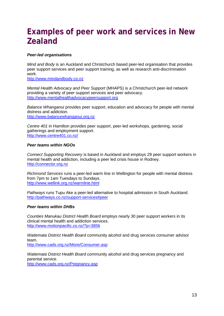# <span id="page-12-0"></span>**Examples of peer work and services in New Zealand**

### *Peer-led organisations*

*Mind and Body* is an Auckland and Christchurch based peer-led organisation that provides peer support services and peer support training, as well as research anti-discrimination work.

[http://www.mindandbody.co.nz](http://www.mindandbody.co.nz/)

*Mental Health Advocacy and Peer Support* (MHAPS) is a Christchurch peer-led network providing a variety of peer support services and peer advocacy. [http://www.mentalhealthadvocacypeersupport.org](http://www.mentalhealthadvocacypeersupport.org/)

*Balance Whanganui* provides peer support, education and advocacy for people with mental distress and addiction. [http://www.balancewhanganui.org.nz](http://www.balancewhanganui.org.nz/)

*Centre 401* in Hamilton provides peer support, peer-led workshops, gardening, social gatherings and employment support. <http://www.centre401.co.nz/>

### *Peer teams within NGOs*

*Connect Supporting Recovery* is based in Auckland and employs 29 peer support workers in mental health and addiction, including a peer led crisis house in Rodney. [http://connectsr.org.nz](http://connectsr.org.nz/)

*Richmond Services* runs a peer-led warm line in Wellington for people with mental distress from 7pm to 1am Tuesdays to Sundays. <http://www.wellink.org.nz/warmline.html>

*Pathways* runs Tupu Ake a peer-led alternative to hospital admission in South Auckland. [http://pathways.co.nz/support-services#peer](http://pathways.co.nz/support-services%23peer)

### *Peer teams within DHBs*

*Counties Manukau District Health Board* employs nearly 30 peer support workers in its clinical mental health and addiction services. <http://www.motionpacific.co.nz/?p=3856>

*Waitemata District Health Board* community alcohol and drug services consumer advisor team.

<http://www.cads.org.nz/More/Consumer.asp>

*Waitemata District Health Board* community alcohol and drug services pregnancy and parental service.

<http://www.cads.org.nz/Pregnancy.asp>